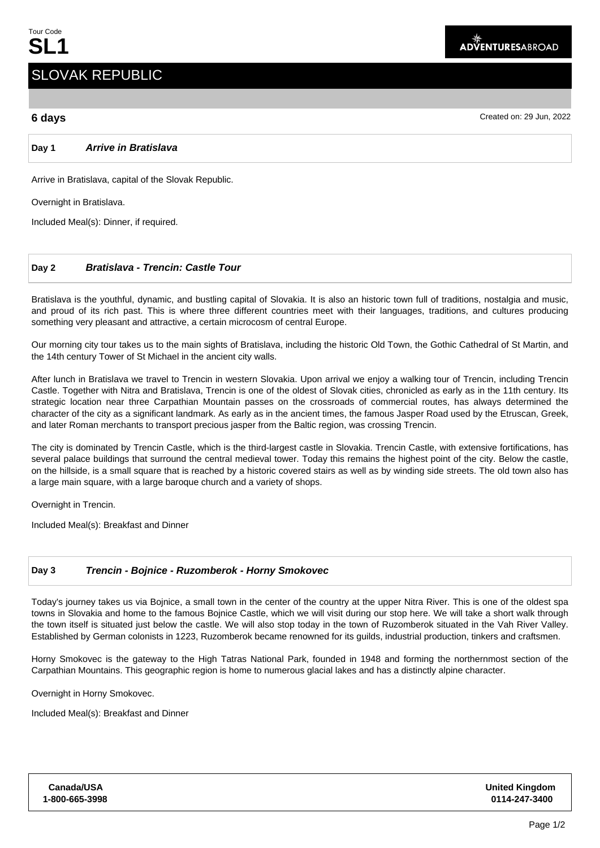# SLOVAK REPUBLIC

## **6 days** Created on: 29 Jun, 2022

**Day 1 Arrive in Bratislava**

Arrive in Bratislava, capital of the Slovak Republic.

Overnight in Bratislava.

Included Meal(s): Dinner, if required.

## **Day 2 Bratislava - Trencin: Castle Tour**

Bratislava is the youthful, dynamic, and bustling capital of Slovakia. It is also an historic town full of traditions, nostalgia and music, and proud of its rich past. This is where three different countries meet with their languages, traditions, and cultures producing something very pleasant and attractive, a certain microcosm of central Europe.

Our morning city tour takes us to the main sights of Bratislava, including the historic Old Town, the Gothic Cathedral of St Martin, and the 14th century Tower of St Michael in the ancient city walls.

After lunch in Bratislava we travel to Trencin in western Slovakia. Upon arrival we enjoy a walking tour of Trencin, including Trencin Castle. Together with Nitra and Bratislava, Trencin is one of the oldest of Slovak cities, chronicled as early as in the 11th century. Its strategic location near three Carpathian Mountain passes on the crossroads of commercial routes, has always determined the character of the city as a significant landmark. As early as in the ancient times, the famous Jasper Road used by the Etruscan, Greek, and later Roman merchants to transport precious jasper from the Baltic region, was crossing Trencin.

The city is dominated by Trencin Castle, which is the third-largest castle in Slovakia. Trencin Castle, with extensive fortifications, has several palace buildings that surround the central medieval tower. Today this remains the highest point of the city. Below the castle, on the hillside, is a small square that is reached by a historic covered stairs as well as by winding side streets. The old town also has a large main square, with a large baroque church and a variety of shops.

Overnight in Trencin.

Included Meal(s): Breakfast and Dinner

## **Day 3 Trencin - Bojnice - Ruzomberok - Horny Smokovec**

Today's journey takes us via Bojnice, a small town in the center of the country at the upper Nitra River. This is one of the oldest spa towns in Slovakia and home to the famous Bojnice Castle, which we will visit during our stop here. We will take a short walk through the town itself is situated just below the castle. We will also stop today in the town of Ruzomberok situated in the Vah River Valley. Established by German colonists in 1223, Ruzomberok became renowned for its guilds, industrial production, tinkers and craftsmen.

Horny Smokovec is the gateway to the High Tatras National Park, founded in 1948 and forming the northernmost section of the Carpathian Mountains. This geographic region is home to numerous glacial lakes and has a distinctly alpine character.

Overnight in Horny Smokovec.

Included Meal(s): Breakfast and Dinner